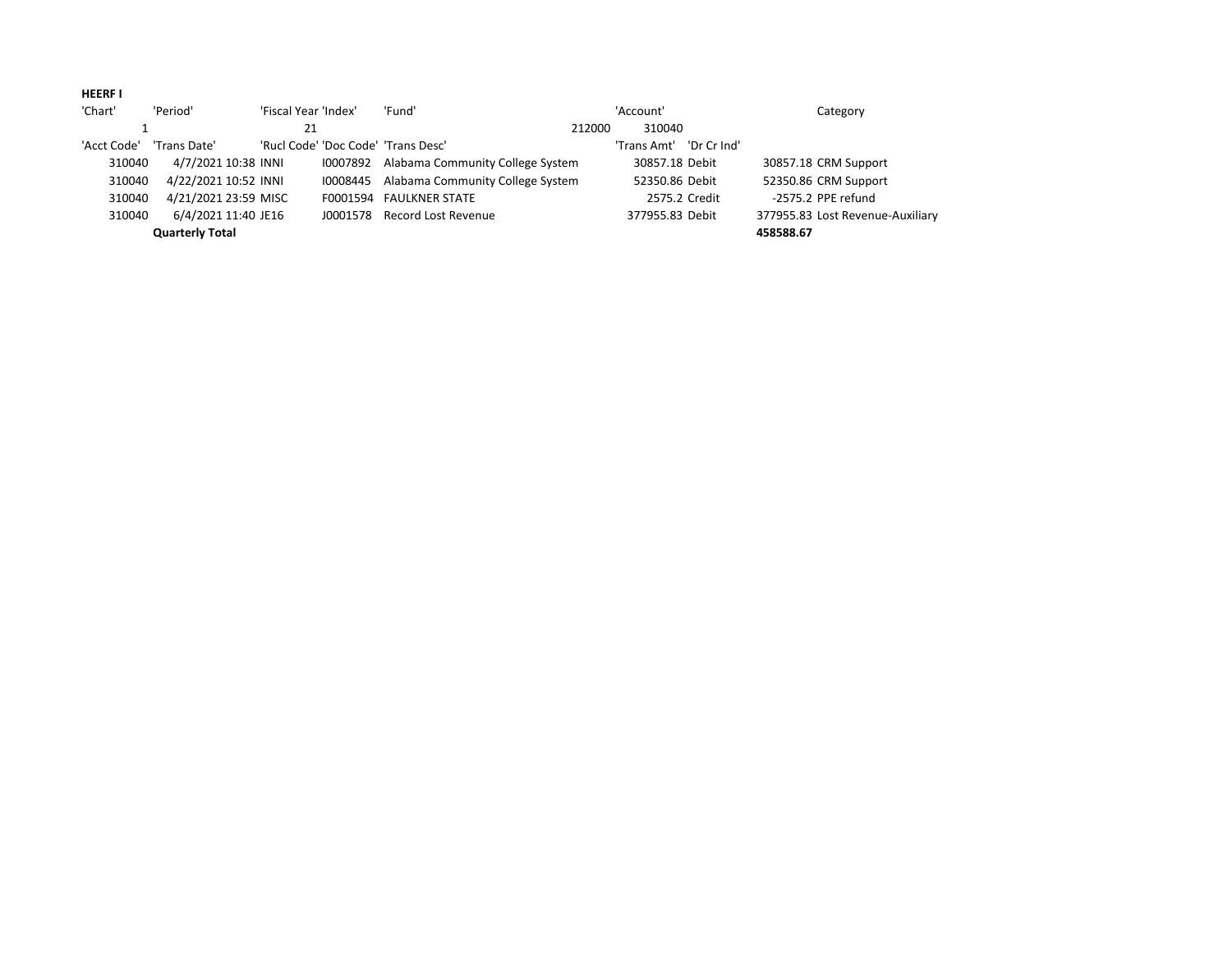## **HEERF I**

| 'Chart'     | 'Period'               | 'Fiscal Year 'Index' | 'Fund'                                    | 'Account' |                 |             | Category                         |  |
|-------------|------------------------|----------------------|-------------------------------------------|-----------|-----------------|-------------|----------------------------------|--|
|             |                        | 21                   |                                           | 212000    | 310040          |             |                                  |  |
| 'Acct Code' | 'Trans Date'           |                      | 'Rucl Code' 'Doc Code' 'Trans Desc'       |           | 'Trans Amt'     | 'Dr Cr Ind' |                                  |  |
| 310040      | 4/7/2021 10:38 INNI    |                      | 10007892 Alabama Community College System |           | 30857.18 Debit  |             | 30857.18 CRM Support             |  |
| 310040      | 4/22/2021 10:52 INNI   | 10008445             | Alabama Community College System          |           | 52350.86 Debit  |             | 52350.86 CRM Support             |  |
| 310040      | 4/21/2021 23:59 MISC   |                      | F0001594 FAULKNER STATE                   |           | 2575.2 Credit   |             | -2575.2 PPE refund               |  |
| 310040      | 6/4/2021 11:40 JE16    |                      | J0001578 Record Lost Revenue              |           | 377955.83 Debit |             | 377955.83 Lost Revenue-Auxiliary |  |
|             | <b>Quarterly Total</b> |                      |                                           |           |                 |             | 458588.67                        |  |